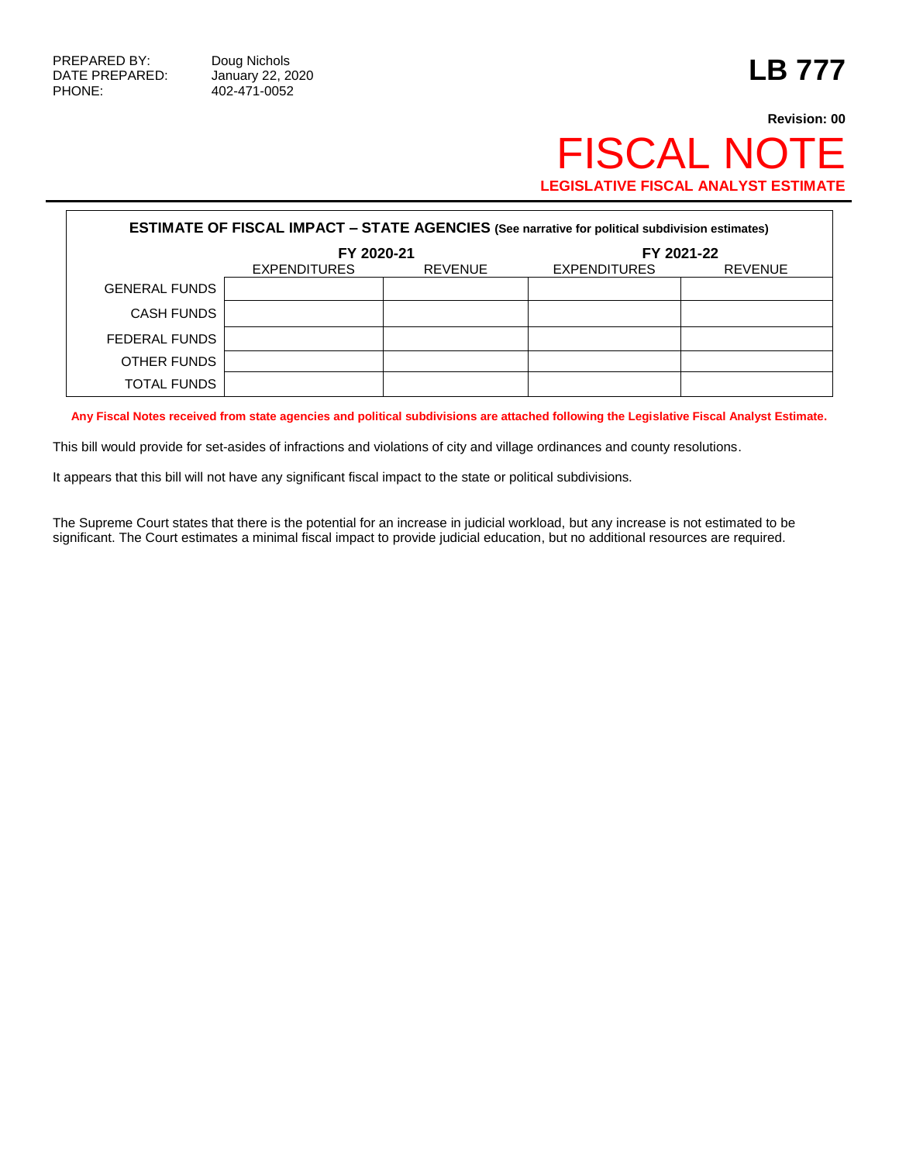## **Revision: 00** FISCAL NOTE **LEGISLATIVE FISCAL ANALYST ESTIMATE**

| <b>ESTIMATE OF FISCAL IMPACT - STATE AGENCIES (See narrative for political subdivision estimates)</b> |                     |                |                     |                |  |  |  |  |
|-------------------------------------------------------------------------------------------------------|---------------------|----------------|---------------------|----------------|--|--|--|--|
|                                                                                                       | FY 2020-21          |                | FY 2021-22          |                |  |  |  |  |
|                                                                                                       | <b>EXPENDITURES</b> | <b>REVENUE</b> | <b>EXPENDITURES</b> | <b>REVENUE</b> |  |  |  |  |
| <b>GENERAL FUNDS</b>                                                                                  |                     |                |                     |                |  |  |  |  |
| <b>CASH FUNDS</b>                                                                                     |                     |                |                     |                |  |  |  |  |
| FEDERAL FUNDS                                                                                         |                     |                |                     |                |  |  |  |  |
| OTHER FUNDS                                                                                           |                     |                |                     |                |  |  |  |  |
| <b>TOTAL FUNDS</b>                                                                                    |                     |                |                     |                |  |  |  |  |

**Any Fiscal Notes received from state agencies and political subdivisions are attached following the Legislative Fiscal Analyst Estimate.**

This bill would provide for set-asides of infractions and violations of city and village ordinances and county resolutions.

It appears that this bill will not have any significant fiscal impact to the state or political subdivisions.

The Supreme Court states that there is the potential for an increase in judicial workload, but any increase is not estimated to be significant. The Court estimates a minimal fiscal impact to provide judicial education, but no additional resources are required.